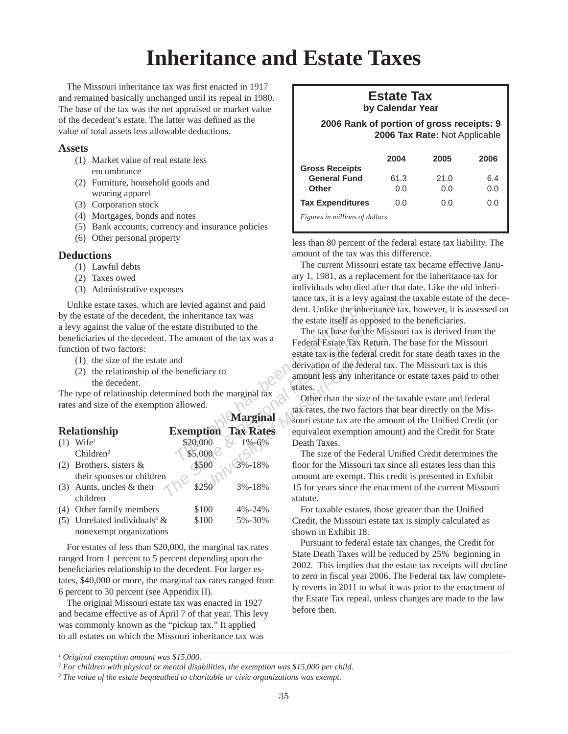## **Inheritance and Estate Taxes**

The Missouri inheritance tax was first enacted in 1917 and remained basically unchanged until its repeal in 1980. The base of the tax was the net appraised or market value of the decedent's estate. The latter was defined as the value of total assets less allowable deductions.

## **Assets**

- (1) Market value of real estate less encumbrance
- (2) Furniture, household goods and wearing apparel
- (3) Corporation stock
- (4) Mortgages, bonds and notes
- (5) Bank accounts, currency and insurance policies
- (6) Other personal property

## **Deductions**

- (1) Lawful debts
- (2) Taxes owed
- (3) Administrative expenses

- (1) the size of the estate and
- (2) the relationship of the beneficiary to the decedent.

|     | Unlike estate taxes, which are levied against and paid<br>by the estate of the decedent, the inheritance tax was<br>a levy against the value of the estate distributed to the<br>beneficiaries of the decedent. The amount of the tax was a<br>function of two factors:<br>(1) the size of the estate and<br>(2) the relationship of the beneficiary to<br>the decedent.<br>The type of relationship determined both the marginal tax<br>rates and size of the exemption allowed. |                  |                  | tance tax, it is a levy against the<br>dent. Unlike the inheritance tax<br>the estate itself as opposed to the<br>The tax base for the Missour<br>Federal Estate Tax Return. The<br>estate tax is the federal credit fo<br>derivation of the federal tax. Th<br>amount less any inheritance or<br>states.<br>Other than the size of the tax<br>tax rates, the two factors that be |
|-----|-----------------------------------------------------------------------------------------------------------------------------------------------------------------------------------------------------------------------------------------------------------------------------------------------------------------------------------------------------------------------------------------------------------------------------------------------------------------------------------|------------------|------------------|-----------------------------------------------------------------------------------------------------------------------------------------------------------------------------------------------------------------------------------------------------------------------------------------------------------------------------------------------------------------------------------|
|     |                                                                                                                                                                                                                                                                                                                                                                                                                                                                                   |                  | <b>Marginal</b>  | souri estate tax are the amount                                                                                                                                                                                                                                                                                                                                                   |
|     | <b>Relationship</b>                                                                                                                                                                                                                                                                                                                                                                                                                                                               | <b>Exemption</b> | <b>Tax Rates</b> | equivalent exemption amount)                                                                                                                                                                                                                                                                                                                                                      |
|     | $(1)$ Wife <sup>1</sup>                                                                                                                                                                                                                                                                                                                                                                                                                                                           | \$20,000         | $1\% - 6\%$      | Death Taxes.                                                                                                                                                                                                                                                                                                                                                                      |
|     | Children <sup>2</sup>                                                                                                                                                                                                                                                                                                                                                                                                                                                             | \$5,000          |                  | The size of the Federal Unifi                                                                                                                                                                                                                                                                                                                                                     |
| (2) | Brothers, sisters $\&$                                                                                                                                                                                                                                                                                                                                                                                                                                                            | \$500            | 3%-18%           | floor for the Missouri tax since                                                                                                                                                                                                                                                                                                                                                  |
|     | their spouses or children                                                                                                                                                                                                                                                                                                                                                                                                                                                         |                  |                  | amount are exempt. This credit                                                                                                                                                                                                                                                                                                                                                    |
| (3) | Aunts, uncles & their                                                                                                                                                                                                                                                                                                                                                                                                                                                             | \$25             | 3%-18%           | 15 for years since the enactmen                                                                                                                                                                                                                                                                                                                                                   |
|     | children                                                                                                                                                                                                                                                                                                                                                                                                                                                                          |                  |                  | statute.                                                                                                                                                                                                                                                                                                                                                                          |
| (4) | Other family members                                                                                                                                                                                                                                                                                                                                                                                                                                                              | \$100            | 4%-24%           | For taxable estates, those gre                                                                                                                                                                                                                                                                                                                                                    |
| (5) | Unrelated individuals <sup>3</sup> $\&$                                                                                                                                                                                                                                                                                                                                                                                                                                           | \$100            | 5%-30%           | Credit, the Missouri estate tax is                                                                                                                                                                                                                                                                                                                                                |
|     | nonexempt organizations                                                                                                                                                                                                                                                                                                                                                                                                                                                           |                  |                  | shown in Exhibit 18.                                                                                                                                                                                                                                                                                                                                                              |

For estates of less than \$20,000, the marginal tax rates ranged from 1 percent to 5 percent depending upon the beneficiaries relationship to the decedent. For larger estates, \$40,000 or more, the marginal tax rates ranged from 6 percent to 30 percent (see Appendix II).

The original Missouri estate tax was enacted in 1927 and became effective as of April 7 of that year. This levy was commonly known as the "pickup tax." It applied to all estates on which the Missouri inheritance tax was

## **Estate Tax by Calendar Year**

 **2006 Rank of portion of gross receipts: 9 2006 Tax Rate:** Not Applicable

| <b>Gross Receipts</b>          | 2004        | 2005        | 2006       |
|--------------------------------|-------------|-------------|------------|
| <b>General Fund</b><br>Other   | 61.3<br>0.0 | 21.0<br>0.O | 6.4<br>0.0 |
| <b>Tax Expenditures</b>        | 0.O         | 0.O         | 0.O        |
| Figures in millions of dollars |             |             |            |

less than 80 percent of the federal estate tax liability. The amount of the tax was this difference.

The current Missouri estate tax became effective January 1, 1981, as a replacement for the inheritance tax for individuals who died after that date. Like the old inheritance tax, it is a levy against the taxable estate of the decedent. Unlike the inheritance tax, however, it is assessed on the estate itself as opposed to the beneficiaries.

In the tax was a<br>
Federal Estate Tax Return.<br>
estate tax is the federal creativation of the federal ta<br>
amount less any inheritance<br>
the marginal tax<br>
tax rates.<br>
<br>
<br> **Marginal**<br> **Marginal**<br> **Marginal**<br>
<br> **Marginal**<br>
souri The tax base for the Missouri tax is derived from the Federal Estate Tax Return. The base for the Missouri estate tax is the federal credit for state death taxes in the derivation of the federal tax. The Missouri tax is this amount less any inheritance or estate taxes paid to other states.

Other than the size of the taxable estate and federal tax rates, the two factors that bear directly on the Missouri estate tax are the amount of the Unified Credit (or equivalent exemption amount) and the Credit for State Death Taxes.

The size of the Federal Unified Credit determines the floor for the Missouri tax since all estates less than this amount are exempt. This credit is presented in Exhibit 15 for years since the enactment of the current Missouri statute.

For taxable estates, those greater than the Unified Credit, the Missouri estate tax is simply calculated as shown in Exhibit 18.

Pursuant to federal estate tax changes, the Credit for State Death Taxes will be reduced by 25% beginning in 2002. This implies that the estate tax receipts will decline to zero in fiscal year 2006. The Federal tax law completely reverts in 2011 to what it was prior to the enactment of the Estate Tax repeal, unless changes are made to the law before then.

*<sup>1</sup> Original exemption amount was \$15,000.*

<sup>&</sup>lt;sup>2</sup> For children with physical or mental disabilities, the exemption was \$15,000 per child.

<sup>&</sup>lt;sup>3</sup> The value of the estate bequeathed to charitable or civic organizations was exempt.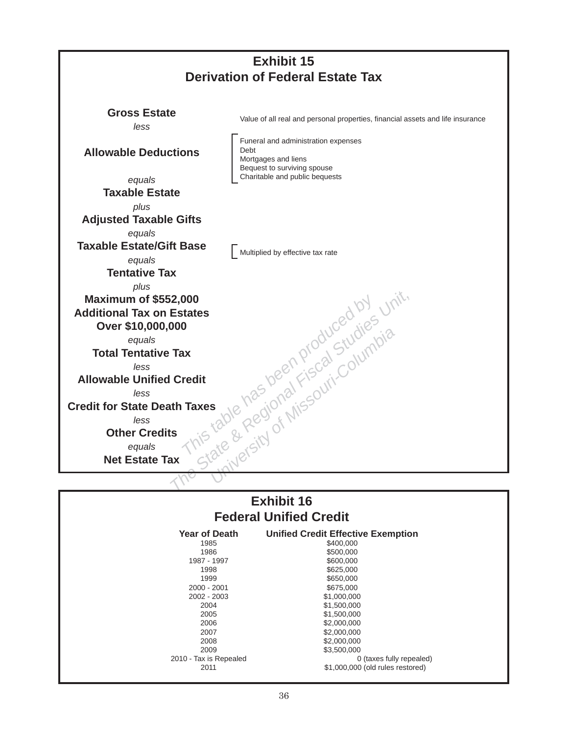

|                       | <b>Exhibit 16</b>                                |
|-----------------------|--------------------------------------------------|
|                       | <b>Federal Unified Credit</b>                    |
| Year of Death<br>1985 | <b>Unified Credit Effective Exe</b><br>\$400,000 |

| <b>Year of Death</b>   | <b>Unified Credit Effective Exemption</b> |
|------------------------|-------------------------------------------|
| 1985                   | \$400,000                                 |
| 1986                   | \$500,000                                 |
| 1987 - 1997            | \$600,000                                 |
| 1998                   | \$625,000                                 |
| 1999                   | \$650,000                                 |
| 2000 - 2001            | \$675,000                                 |
| 2002 - 2003            | \$1,000,000                               |
| 2004                   | \$1,500,000                               |
| 2005                   | \$1,500,000                               |
| 2006                   | \$2,000,000                               |
| 2007                   | \$2,000,000                               |
| 2008                   | \$2,000,000                               |
| 2009                   | \$3,500,000                               |
| 2010 - Tax is Repealed | 0 (taxes fully repealed)                  |
| 2011                   | \$1,000,000 (old rules restored)          |